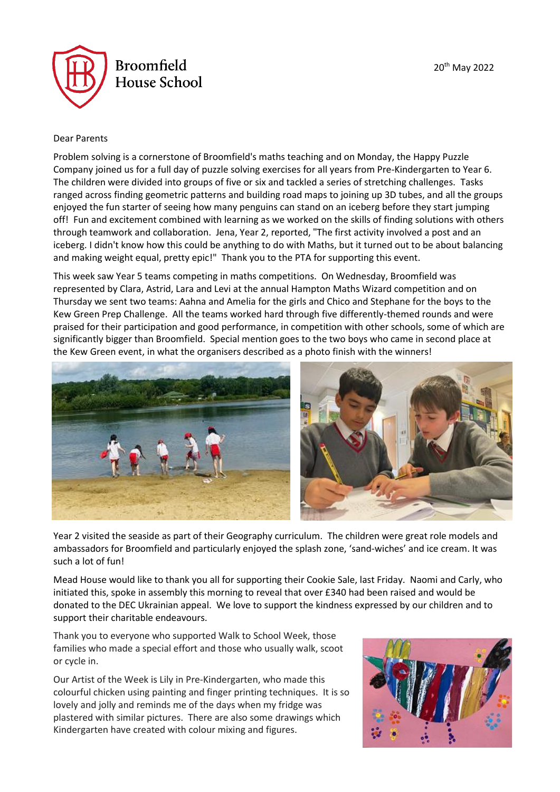

#### Dear Parents

Problem solving is a cornerstone of Broomfield's maths teaching and on Monday, the Happy Puzzle Company joined us for a full day of puzzle solving exercises for all years from Pre-Kindergarten to Year 6. The children were divided into groups of five or six and tackled a series of stretching challenges. Tasks ranged across finding geometric patterns and building road maps to joining up 3D tubes, and all the groups enjoyed the fun starter of seeing how many penguins can stand on an iceberg before they start jumping off! Fun and excitement combined with learning as we worked on the skills of finding solutions with others through teamwork and collaboration. Jena, Year 2, reported, "The first activity involved a post and an iceberg. I didn't know how this could be anything to do with Maths, but it turned out to be about balancing and making weight equal, pretty epic!" Thank you to the PTA for supporting this event.

This week saw Year 5 teams competing in maths competitions. On Wednesday, Broomfield was represented by Clara, Astrid, Lara and Levi at the annual Hampton Maths Wizard competition and on Thursday we sent two teams: Aahna and Amelia for the girls and Chico and Stephane for the boys to the Kew Green Prep Challenge. All the teams worked hard through five differently-themed rounds and were praised for their participation and good performance, in competition with other schools, some of which are significantly bigger than Broomfield. Special mention goes to the two boys who came in second place at the Kew Green event, in what the organisers described as a photo finish with the winners!



Year 2 visited the seaside as part of their Geography curriculum. The children were great role models and ambassadors for Broomfield and particularly enjoyed the splash zone, 'sand-wiches' and ice cream. It was such a lot of fun!

Mead House would like to thank you all for supporting their Cookie Sale, last Friday. Naomi and Carly, who initiated this, spoke in assembly this morning to reveal that over £340 had been raised and would be donated to the DEC Ukrainian appeal. We love to support the kindness expressed by our children and to support their charitable endeavours.

Thank you to everyone who supported Walk to School Week, those families who made a special effort and those who usually walk, scoot or cycle in.

Our Artist of the Week is Lily in Pre-Kindergarten, who made this colourful chicken using painting and finger printing techniques. It is so lovely and jolly and reminds me of the days when my fridge was plastered with similar pictures. There are also some drawings which Kindergarten have created with colour mixing and figures.

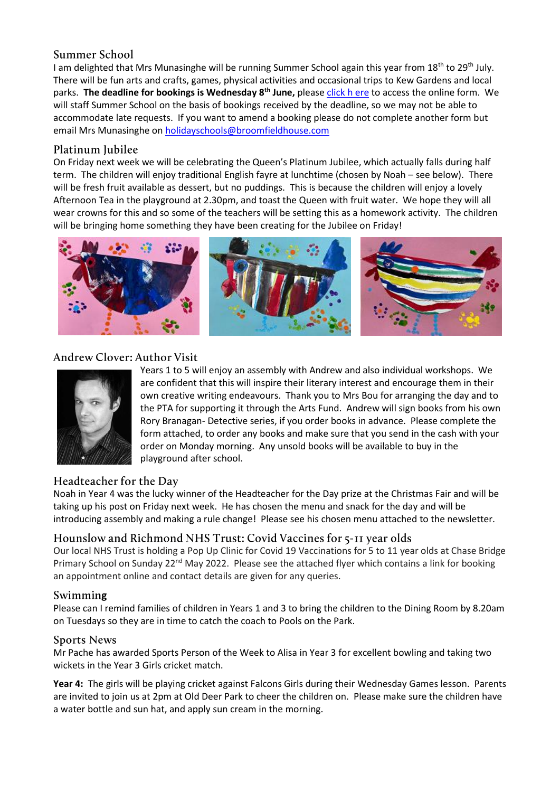## Summer School

I am delighted that Mrs Munasinghe will be running Summer School again this year from 18<sup>th</sup> to 29<sup>th</sup> July. There will be fun arts and crafts, games, physical activities and occasional trips to Kew Gardens and local parks. **The deadline for bookings is Wednesday 8th June,** pleas[e click h](https://forms.office.com/Pages/ResponsePage.aspx?id=y7ccHwVrs0W3HzQ77t0Kc2nxDROr_XFLnmcpaqzniKtUNzExWEpCM1FTNUJSVjlBMExIODNYSEY2Qy4u) ere to access the online form. We will staff Summer School on the basis of bookings received by the deadline, so we may not be able to accommodate late requests. If you want to amend a booking please do not complete another form but email Mrs Munasinghe o[n holidayschools@broomfieldhouse.com](mailto:holidayschools@broomfieldhouse.com)

## Platinum Jubilee

On Friday next week we will be celebrating the Queen's Platinum Jubilee, which actually falls during half term. The children will enjoy traditional English fayre at lunchtime (chosen by Noah – see below). There will be fresh fruit available as dessert, but no puddings. This is because the children will enjoy a lovely Afternoon Tea in the playground at 2.30pm, and toast the Queen with fruit water. We hope they will all wear crowns for this and so some of the teachers will be setting this as a homework activity. The children will be bringing home something they have been creating for the Jubilee on Friday!



# Andrew Clover: Author Visit



Years 1 to 5 will enjoy an assembly with Andrew and also individual workshops. We are confident that this will inspire their literary interest and encourage them in their own creative writing endeavours. Thank you to Mrs Bou for arranging the day and to the PTA for supporting it through the Arts Fund. Andrew will sign books from his own Rory Branagan- Detective series, if you order books in advance. Please complete the form attached, to order any books and make sure that you send in the cash with your order on Monday morning. Any unsold books will be available to buy in the playground after school.

## Headteacher for the Day

Noah in Year 4 was the lucky winner of the Headteacher for the Day prize at the Christmas Fair and will be taking up his post on Friday next week. He has chosen the menu and snack for the day and will be introducing assembly and making a rule change! Please see his chosen menu attached to the newsletter.

## Hounslow and Richmond NHS Trust: Covid Vaccines for 5-11 year olds

Our local NHS Trust is holding a Pop Up Clinic for Covid 19 Vaccinations for 5 to 11 year olds at Chase Bridge Primary School on Sunday 22<sup>nd</sup> May 2022. Please see the attached flyer which contains a link for booking an appointment online and contact details are given for any queries.

## **Swimming**

Please can I remind families of children in Years 1 and 3 to bring the children to the Dining Room by 8.20am on Tuesdays so they are in time to catch the coach to Pools on the Park.

## **Sports News**

Mr Pache has awarded Sports Person of the Week to Alisa in Year 3 for excellent bowling and taking two wickets in the Year 3 Girls cricket match.

**Year 4:** The girls will be playing cricket against Falcons Girls during their Wednesday Games lesson. Parents are invited to join us at 2pm at Old Deer Park to cheer the children on. Please make sure the children have a water bottle and sun hat, and apply sun cream in the morning.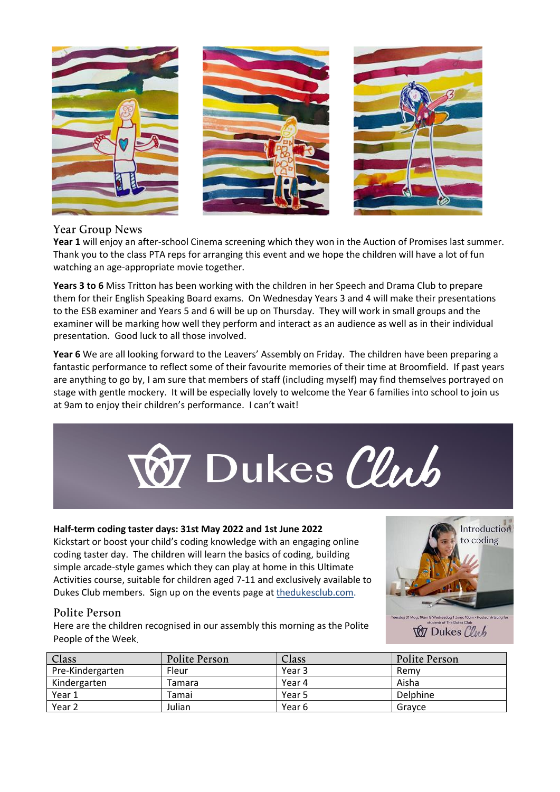





## **Year Group News**

**Year 1** will enjoy an after-school Cinema screening which they won in the Auction of Promises last summer. Thank you to the class PTA reps for arranging this event and we hope the children will have a lot of fun watching an age-appropriate movie together.

**Years 3 to 6** Miss Tritton has been working with the children in her Speech and Drama Club to prepare them for their English Speaking Board exams. On Wednesday Years 3 and 4 will make their presentations to the ESB examiner and Years 5 and 6 will be up on Thursday. They will work in small groups and the examiner will be marking how well they perform and interact as an audience as well as in their individual presentation. Good luck to all those involved.

Year 6 We are all looking forward to the Leavers' Assembly on Friday. The children have been preparing a fantastic performance to reflect some of their favourite memories of their time at Broomfield. If past years are anything to go by, I am sure that members of staff (including myself) may find themselves portrayed on stage with gentle mockery. It will be especially lovely to welcome the Year 6 families into school to join us at 9am to enjoy their children's performance. I can't wait!



#### **Half-term coding taster days: 31st May 2022 and 1st June 2022**

Kickstart or boost your child's coding knowledge with an engaging online coding taster day. The children will learn the basics of coding, building simple arcade-style games which they can play at home in this Ultimate Activities course, suitable for children aged 7-11 and exclusively available to Dukes Club members. Sign up on the events page at thedukesclub.com.



## Polite Person

Here are the children recognised in our assembly this morning as the Polite People of the Week

**W** Dukes Club

| Class            | Polite Person | Class  | Polite Person |
|------------------|---------------|--------|---------------|
| Pre-Kindergarten | Fleur         | Year 3 | Remv          |
| Kindergarten     | Tamara        | Year 4 | Aisha         |
| Year 1           | Tamai         | Year 5 | Delphine      |
| Year 2           | Julian        | Year 6 | Gravce        |